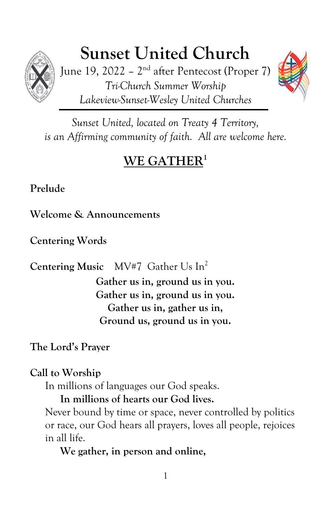

# **Sunset United Church**

June 19, 2022 – 2<sup>nd</sup> after Pentecost (Proper 7) *Tri-Church Summer Worship Lakeview-Sunset-Wesley United Churches*



*Sunset United, located on Treaty 4 Territory, is an Affirming community of faith. All are welcome here.*

## **WE GATHER 1**

**Prelude**

**Welcome & Announcements**

**Centering Words**

**Centering Music** MV#7 Gather Us In<sup>2</sup>

**Gather us in, ground us in you. Gather us in, ground us in you. Gather us in, gather us in, Ground us, ground us in you.**

**The Lord's Prayer**

**Call to Worship**

In millions of languages our God speaks.

**In millions of hearts our God lives.**

Never bound by time or space, never controlled by politics or race, our God hears all prayers, loves all people, rejoices in all life.

**We gather, in person and online,**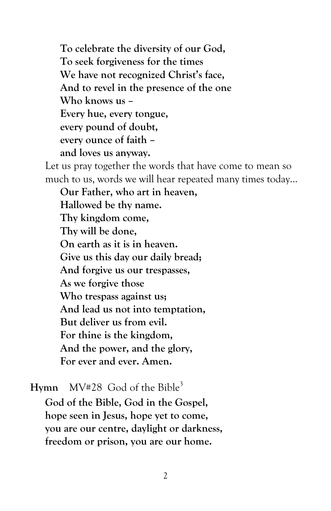**To celebrate the diversity of our God, To seek forgiveness for the times We have not recognized Christ's face, And to revel in the presence of the one Who knows us – Every hue, every tongue, every pound of doubt, every ounce of faith – and loves us anyway.** Let us pray together the words that have come to mean so much to us, words we will hear repeated many times today...

**Our Father, who art in heaven, Hallowed be thy name. Thy kingdom come, Thy will be done, On earth as it is in heaven. Give us this day our daily bread; And forgive us our trespasses, As we forgive those Who trespass against us; And lead us not into temptation, But deliver us from evil. For thine is the kingdom, And the power, and the glory, For ever and ever. Amen.**

**Hymn** MV#28 God of the Bible<sup>3</sup>

**God of the Bible, God in the Gospel, hope seen in Jesus, hope yet to come, you are our centre, daylight or darkness, freedom or prison, you are our home.**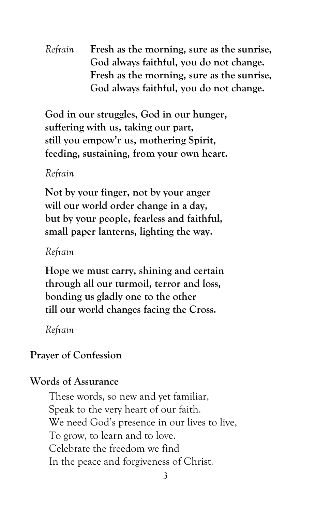*Refrain* **Fresh as the morning, sure as the sunrise, God always faithful, you do not change. Fresh as the morning, sure as the sunrise, God always faithful, you do not change.**

**God in our struggles, God in our hunger, suffering with us, taking our part, still you empow'r us, mothering Spirit, feeding, sustaining, from your own heart.**

#### *Refrain*

**Not by your finger, not by your anger will our world order change in a day, but by your people, fearless and faithful, small paper lanterns, lighting the way.**

*Refrain*

**Hope we must carry, shining and certain through all our turmoil, terror and loss, bonding us gladly one to the other till our world changes facing the Cross.**

*Refrain*

#### **Prayer of Confession**

#### **Words of Assurance**

These words, so new and yet familiar, Speak to the very heart of our faith. We need God's presence in our lives to live, To grow, to learn and to love. Celebrate the freedom we find In the peace and forgiveness of Christ.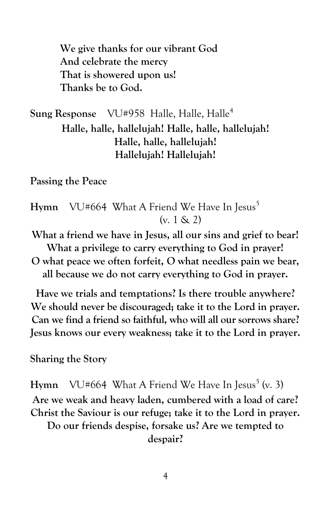**We give thanks for our vibrant God And celebrate the mercy That is showered upon us! Thanks be to God.**

**Sung Response** VU#958 Halle, Halle, Halle<sup>4</sup> **Halle, halle, hallelujah! Halle, halle, hallelujah! Halle, halle, hallelujah! Hallelujah! Hallelujah!**

**Passing the Peace**

**Hymn** VU#664 What A Friend We Have In Jesus<sup>5</sup>  $(v. 1 \& 2)$ 

**What a friend we have in Jesus, all our sins and grief to bear! What a privilege to carry everything to God in prayer! O what peace we often forfeit, O what needless pain we bear,**

**all because we do not carry everything to God in prayer.**

**Have we trials and temptations? Is there trouble anywhere? We should never be discouraged; take it to the Lord in prayer. Can we find a friend so faithful, who will all our sorrows share? Jesus knows our every weakness; take it to the Lord in prayer.**

**Sharing the Story**

**Hymn** VU#664 What A Friend We Have In Jesus<sup>5</sup> (v. 3) **Are we weak and heavy laden, cumbered with a load of care? Christ the Saviour is our refuge; take it to the Lord in prayer. Do our friends despise, forsake us? Are we tempted to despair?**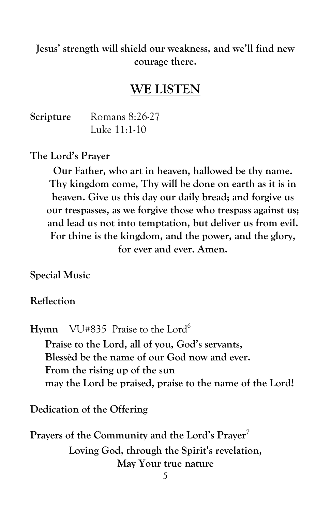**Jesus' strength will shield our weakness, and we'll find new courage there.**

### **WE LISTEN**

**Scripture** Romans 8:26-27 Luke 11:1-10

**The Lord's Prayer**

**Our Father, who art in heaven, hallowed be thy name. Thy kingdom come, Thy will be done on earth as it is in heaven. Give us this day our daily bread; and forgive us our trespasses, as we forgive those who trespass against us; and lead us not into temptation, but deliver us from evil. For thine is the kingdom, and the power, and the glory, for ever and ever. Amen.**

**Special Music**

**Reflection**

**Hymn** VU#835 Praise to the Lord<sup>6</sup> **Praise to the Lord, all of you, God's servants, Blessèd be the name of our God now and ever. From the rising up of the sun may the Lord be praised, praise to the name of the Lord!**

**Dedication of the Offering**

Prayers of the Community and the Lord's Prayer<sup>7</sup> **Loving God, through the Spirit's revelation, May Your true nature**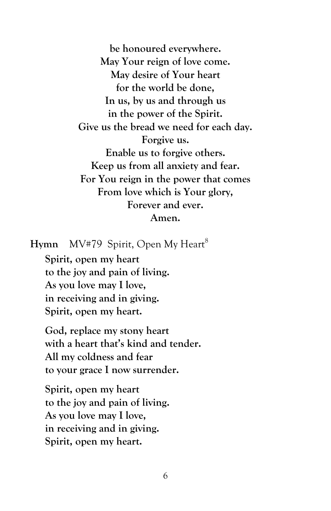**be honoured everywhere. May Your reign of love come. May desire of Your heart for the world be done, In us, by us and through us in the power of the Spirit. Give us the bread we need for each day. Forgive us. Enable us to forgive others. Keep us from all anxiety and fear. For You reign in the power that comes From love which is Your glory, Forever and ever. Amen.**

**Hymn** MV#79 Spirit, Open My Heart<sup>8</sup>

**Spirit, open my heart to the joy and pain of living. As you love may I love, in receiving and in giving. Spirit, open my heart.**

**God, replace my stony heart with a heart that's kind and tender. All my coldness and fear to your grace I now surrender.**

**Spirit, open my heart to the joy and pain of living. As you love may I love, in receiving and in giving. Spirit, open my heart.**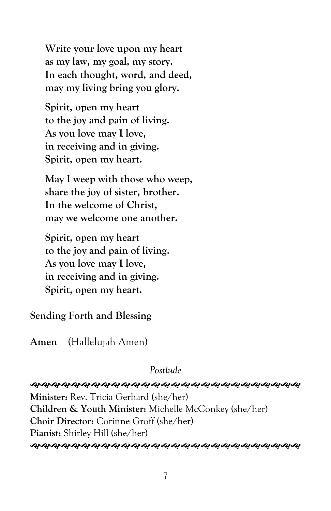**Write your love upon my heart as my law, my goal, my story. In each thought, word, and deed, may my living bring you glory.**

**Spirit, open my heart to the joy and pain of living. As you love may I love, in receiving and in giving. Spirit, open my heart.**

**May I weep with those who weep, share the joy of sister, brother. In the welcome of Christ, may we welcome one another.**

**Spirit, open my heart to the joy and pain of living. As you love may I love, in receiving and in giving. Spirit, open my heart.**

**Sending Forth and Blessing**

**Amen** (Hallelujah Amen)

*Postlude*

**ର୍ଶ୍ୟକ୍ଷିମ୍ୟର୍କ୍ୟିମ୍ୟର୍କ୍ୟିମ୍ୟା ସ୍ୟାସ୍ୟା ସ୍ୟାସ୍ୟା ସ୍ୟାସ୍ୟା ସ୍ୟାସ୍ୟା ସ୍ୟାସ୍ୟା ସ୍ୟାପ୍ୟା ସ୍ୟାପ୍ୟା ସ୍ୟା** 

**Minister:** Rev. Tricia Gerhard (she/her) **Children & Youth Minister:** Michelle McConkey (she/her) **Choir Director:** Corinne Groff (she/her) **Pianist:** Shirley Hill (she/her) *֍֍֍֍֍֍֍֍֍֍֍֍֍֍֍֍֍֍֍֍֍֍֍֍֍֍֍֍֍֍֍*